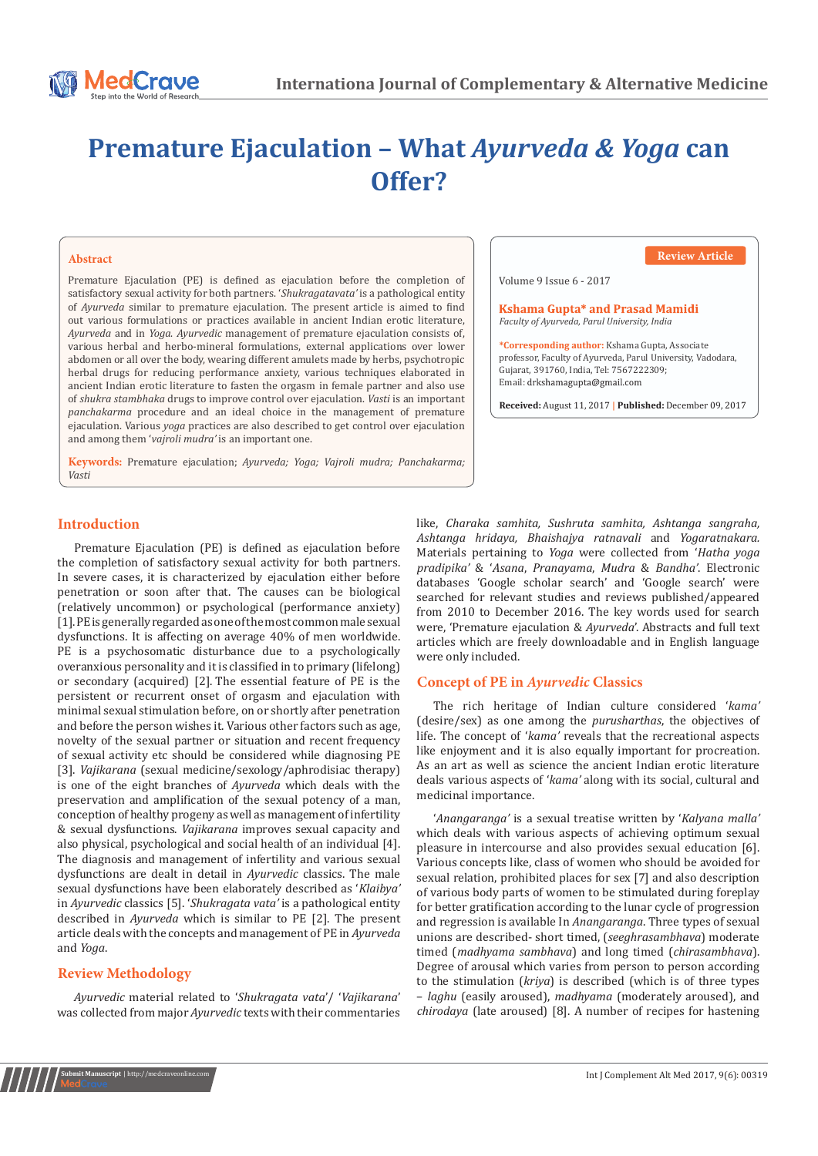

# **Premature Ejaculation – What** *Ayurveda & Yoga* **can Offer?**

#### **Abstract**

Premature Ejaculation (PE) is defined as ejaculation before the completion of satisfactory sexual activity for both partners. '*Shukragatavata'* is a pathological entity of *Ayurveda* similar to premature ejaculation. The present article is aimed to find out various formulations or practices available in ancient Indian erotic literature, *Ayurveda* and in *Yoga*. *Ayurvedic* management of premature ejaculation consists of, various herbal and herbo-mineral formulations, external applications over lower abdomen or all over the body, wearing different amulets made by herbs, psychotropic herbal drugs for reducing performance anxiety, various techniques elaborated in ancient Indian erotic literature to fasten the orgasm in female partner and also use of *shukra stambhaka* drugs to improve control over ejaculation. *Vasti* is an important *panchakarma* procedure and an ideal choice in the management of premature ejaculation. Various *yoga* practices are also described to get control over ejaculation and among them '*vajroli mudra'* is an important one.

**Keywords:** Premature ejaculation; *Ayurveda; Yoga; Vajroli mudra; Panchakarma; Vasti*

#### **Review Article**

Volume 9 Issue 6 - 2017

Kshama Gupta\* and Prasad Mamidi *Faculty of Ayurveda, Parul University, India*

**\*Corresponding author:** Kshama Gupta, Associate professor, Faculty of Ayurveda, Parul University, Vadodara, Gujarat, 391760, India, Tel: 7567222309; Email: drkshamagupta@gmail.com

**Received:** August 11, 2017 **| Published:** December 09, 2017

## **Introduction**

Premature Ejaculation (PE) is defined as ejaculation before the completion of satisfactory sexual activity for both partners. In severe cases, it is characterized by ejaculation either before penetration or soon after that. The causes can be biological (relatively uncommon) or psychological (performance anxiety) [1].PE is generally regarded as one of the most common male sexual dysfunctions. It is affecting on average 40% of men worldwide. PE is a psychosomatic disturbance due to a psychologically overanxious personality and it is classified in to primary (lifelong) or secondary (acquired) [2]. The essential feature of PE is the persistent or recurrent onset of orgasm and ejaculation with minimal sexual stimulation before, on or shortly after penetration and before the person wishes it. Various other factors such as age, novelty of the sexual partner or situation and recent frequency of sexual activity etc should be considered while diagnosing PE [3]. *Vajikarana* (sexual medicine/sexology/aphrodisiac therapy) is one of the eight branches of *Ayurveda* which deals with the preservation and amplification of the sexual potency of a man, conception of healthy progeny as well as management of infertility & sexual dysfunctions. *Vajikarana* improves sexual capacity and also physical, psychological and social health of an individual [4]. The diagnosis and management of infertility and various sexual dysfunctions are dealt in detail in *Ayurvedic* classics. The male sexual dysfunctions have been elaborately described as '*Klaibya'* in *Ayurvedic* classics [5]. '*Shukragata vata'* is a pathological entity described in *Ayurveda* which is similar to PE [2]. The present article deals with the concepts and management of PE in *Ayurveda* and *Yoga*.

# **Review Methodology**

*Ayurvedic* material related to '*Shukragata vata*'/ '*Vajikarana*' was collected from major *Ayurvedic* texts with their commentaries like, *Charaka samhita, Sushruta samhita, Ashtanga sangraha, Ashtanga hridaya, Bhaishajya ratnavali* and *Yogaratnakara.* Materials pertaining to *Yoga* were collected from '*Hatha yoga pradipika'* & '*Asana*, *Pranayama*, *Mudra* & *Bandha'*. Electronic databases 'Google scholar search' and 'Google search' were searched for relevant studies and reviews published/appeared from 2010 to December 2016. The key words used for search were, 'Premature ejaculation & *Ayurveda*'. Abstracts and full text articles which are freely downloadable and in English language were only included.

# **Concept of PE in** *Ayurvedic* **Classics**

The rich heritage of Indian culture considered '*kama'* (desire/sex) as one among the *purusharthas*, the objectives of life. The concept of '*kama'* reveals that the recreational aspects like enjoyment and it is also equally important for procreation. As an art as well as science the ancient Indian erotic literature deals various aspects of '*kama'* along with its social, cultural and medicinal importance.

'*Anangaranga'* is a sexual treatise written by '*Kalyana malla'* which deals with various aspects of achieving optimum sexual pleasure in intercourse and also provides sexual education [6]. Various concepts like, class of women who should be avoided for sexual relation, prohibited places for sex [7] and also description of various body parts of women to be stimulated during foreplay for better gratification according to the lunar cycle of progression and regression is available In *Anangaranga*. Three types of sexual unions are described- short timed, (*seeghrasambhava*) moderate timed (*madhyama sambhava*) and long timed (*chirasambhava*). Degree of arousal which varies from person to person according to the stimulation (*kriya*) is described (which is of three types – *laghu* (easily aroused), *madhyama* (moderately aroused), and *chirodaya* (late aroused) [8]. A number of recipes for hastening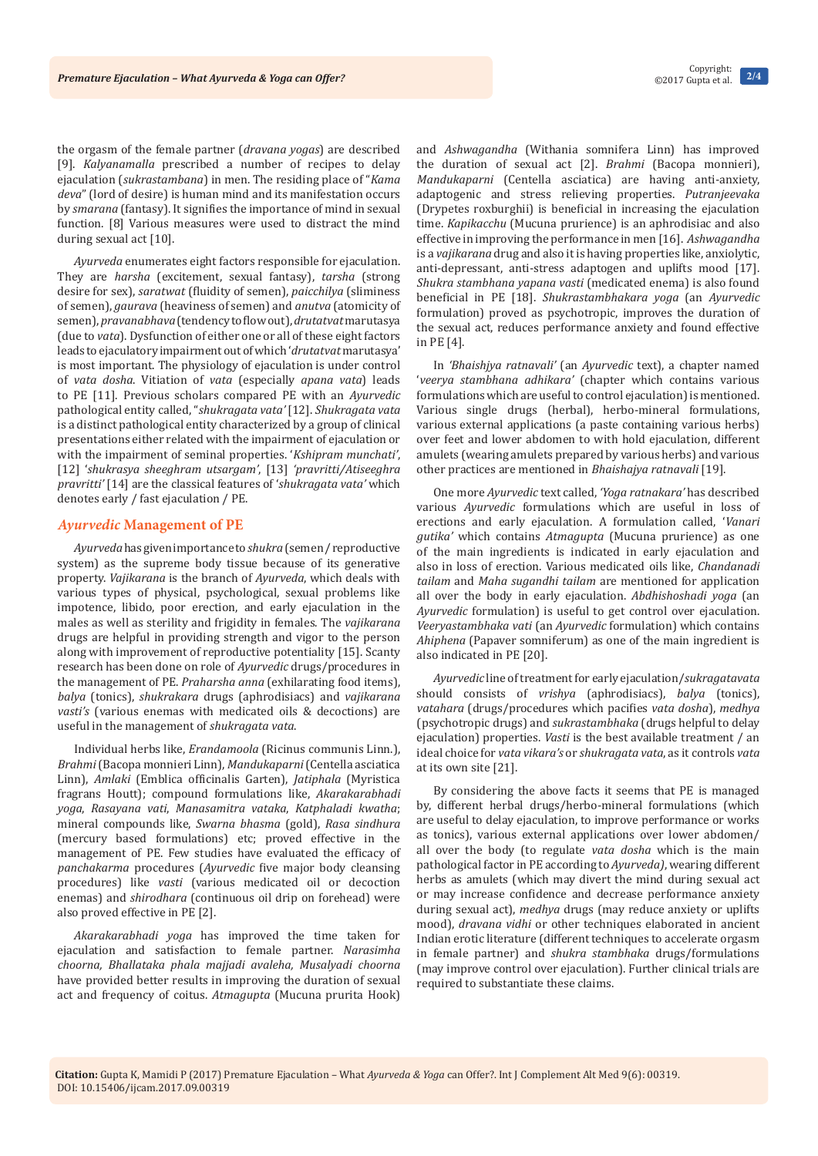the orgasm of the female partner (*dravana yogas*) are described [9]. *Kalyanamalla* prescribed a number of recipes to delay ejaculation (*sukrastambana*) in men. The residing place of "*Kama deva*" (lord of desire) is human mind and its manifestation occurs by *smarana* (fantasy). It signifies the importance of mind in sexual function. [8] Various measures were used to distract the mind during sexual act [10].

*Ayurveda* enumerates eight factors responsible for ejaculation. They are *harsha* (excitement, sexual fantasy), *tarsha* (strong desire for sex), *saratwat* (fluidity of semen), *paicchilya* (sliminess of semen), *gaurava* (heaviness of semen) and *anutva* (atomicity of semen), *pravanabhava* (tendency to flow out), *drutatvat* marutasya (due to *vata*). Dysfunction of either one or all of these eight factors leads to ejaculatory impairment out of which '*drutatvat* marutasya' is most important. The physiology of ejaculation is under control of *vata dosha*. Vitiation of *vata* (especially *apana vata*) leads to PE [11]. Previous scholars compared PE with an *Ayurvedic* pathological entity called, "*shukragata vata'* [12]. *Shukragata vata* is a distinct pathological entity characterized by a group of clinical presentations either related with the impairment of ejaculation or with the impairment of seminal properties. '*Kshipram munchati'*, [12] '*shukrasya sheeghram utsargam'*, [13] *'pravritti/Atiseeghra pravritti'* [14] are the classical features of '*shukragata vata'* which denotes early / fast ejaculation / PE.

#### *Ayurvedic* **Management of PE**

*Ayurveda* has given importance to *shukra* (semen / reproductive system) as the supreme body tissue because of its generative property. *Vajikarana* is the branch of *Ayurveda*, which deals with various types of physical, psychological, sexual problems like impotence, libido, poor erection, and early ejaculation in the males as well as sterility and frigidity in females. The *vajikarana* drugs are helpful in providing strength and vigor to the person along with improvement of reproductive potentiality [15]. Scanty research has been done on role of *Ayurvedic* drugs/procedures in the management of PE. *Praharsha anna* (exhilarating food items), *balya* (tonics), *shukrakara* drugs (aphrodisiacs) and *vajikarana vasti's* (various enemas with medicated oils & decoctions) are useful in the management of *shukragata vata*.

Individual herbs like, *Erandamoola* (Ricinus communis Linn.), *Brahmi* (Bacopa monnieri Linn), *Mandukaparni* (Centella asciatica Linn), *Amlaki* (Emblica officinalis Garten), *Jatiphala* (Myristica fragrans Houtt); compound formulations like, *Akarakarabhadi yoga*, *Rasayana vati*, *Manasamitra vataka*, *Katphaladi kwatha*; mineral compounds like, *Swarna bhasma* (gold), *Rasa sindhura* (mercury based formulations) etc; proved effective in the management of PE. Few studies have evaluated the efficacy of *panchakarma* procedures (*Ayurvedic* five major body cleansing procedures) like *vasti* (various medicated oil or decoction enemas) and *shirodhara* (continuous oil drip on forehead) were also proved effective in PE [2].

*Akarakarabhadi yoga* has improved the time taken for ejaculation and satisfaction to female partner. *Narasimha choorna, Bhallataka phala majjadi avaleha, Musalyadi choorna* have provided better results in improving the duration of sexual act and frequency of coitus. *Atmagupta* (Mucuna prurita Hook)

and *Ashwagandha* (Withania somnifera Linn) has improved the duration of sexual act [2]. *Brahmi* (Bacopa monnieri), *Mandukaparni* (Centella asciatica) are having anti-anxiety, adaptogenic and stress relieving properties. *Putranjeevaka* (Drypetes roxburghii) is beneficial in increasing the ejaculation time. *Kapikacchu* (Mucuna prurience) is an aphrodisiac and also effective in improving the performance in men [16]. *Ashwagandha* is a *vajikarana* drug and also it is having properties like, anxiolytic, anti-depressant, anti-stress adaptogen and uplifts mood [17]. *Shukra stambhana yapana vasti* (medicated enema) is also found beneficial in PE [18]. *Shukrastambhakara yoga* (an *Ayurvedic* formulation) proved as psychotropic, improves the duration of the sexual act, reduces performance anxiety and found effective in PE [4].

In *'Bhaishjya ratnavali'* (an *Ayurvedic* text), a chapter named '*veerya stambhana adhikara'* (chapter which contains various formulations which are useful to control ejaculation) is mentioned. Various single drugs (herbal), herbo-mineral formulations, various external applications (a paste containing various herbs) over feet and lower abdomen to with hold ejaculation, different amulets (wearing amulets prepared by various herbs) and various other practices are mentioned in *Bhaishajya ratnavali* [19].

One more *Ayurvedic* text called, *'Yoga ratnakara'* has described various *Ayurvedic* formulations which are useful in loss of erections and early ejaculation. A formulation called, '*Vanari gutika'* which contains *Atmagupta* (Mucuna prurience) as one of the main ingredients is indicated in early ejaculation and also in loss of erection. Various medicated oils like, *Chandanadi tailam* and *Maha sugandhi tailam* are mentioned for application all over the body in early ejaculation. *Abdhishoshadi yoga* (an *Ayurvedic* formulation) is useful to get control over ejaculation. *Veeryastambhaka vati* (an *Ayurvedic* formulation) which contains *Ahiphena* (Papaver somniferum) as one of the main ingredient is also indicated in PE [20].

*Ayurvedic* line of treatment for early ejaculation/*sukragatavata* should consists of *vrishya* (aphrodisiacs), *balya* (tonics), *vatahara* (drugs/procedures which pacifies *vata dosha*), *medhya*  (psychotropic drugs) and *sukrastambhaka* (drugs helpful to delay ejaculation) properties. *Vasti* is the best available treatment / an ideal choice for *vata vikara's* or *shukragata vata*, as it controls *vata* at its own site [21].

By considering the above facts it seems that PE is managed by, different herbal drugs/herbo-mineral formulations (which are useful to delay ejaculation, to improve performance or works as tonics), various external applications over lower abdomen/ all over the body (to regulate *vata dosha* which is the main pathological factor in PE according to *Ayurveda)*, wearing different herbs as amulets (which may divert the mind during sexual act or may increase confidence and decrease performance anxiety during sexual act), *medhya* drugs (may reduce anxiety or uplifts mood), *dravana vidhi* or other techniques elaborated in ancient Indian erotic literature (different techniques to accelerate orgasm in female partner) and *shukra stambhaka* drugs/formulations (may improve control over ejaculation). Further clinical trials are required to substantiate these claims.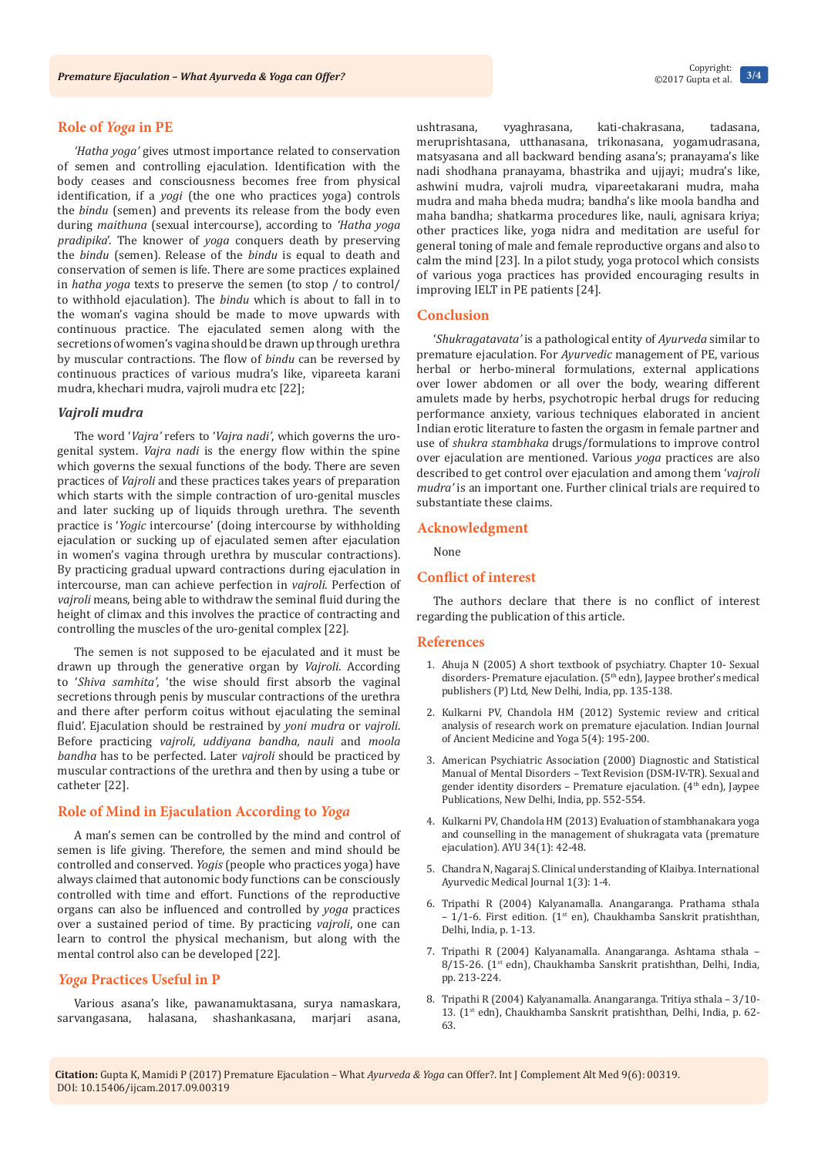# **Role of** *Yoga* **in PE**

*'Hatha yoga'* gives utmost importance related to conservation of semen and controlling ejaculation. Identification with the body ceases and consciousness becomes free from physical identification, if a *yogi* (the one who practices yoga) controls the *bindu* (semen) and prevents its release from the body even during *maithuna* (sexual intercourse), according to *'Hatha yoga pradipika*'. The knower of *yoga* conquers death by preserving the *bindu* (semen). Release of the *bindu* is equal to death and conservation of semen is life. There are some practices explained in *hatha yoga* texts to preserve the semen (to stop / to control/ to withhold ejaculation). The *bindu* which is about to fall in to the woman's vagina should be made to move upwards with continuous practice. The ejaculated semen along with the secretions of women's vagina should be drawn up through urethra by muscular contractions. The flow of *bindu* can be reversed by continuous practices of various mudra's like, vipareeta karani mudra, khechari mudra, vajroli mudra etc [22];

# *Vajroli mudra*

The word '*Vajra'* refers to '*Vajra nadi'*, which governs the urogenital system. *Vajra nadi* is the energy flow within the spine which governs the sexual functions of the body. There are seven practices of *Vajroli* and these practices takes years of preparation which starts with the simple contraction of uro-genital muscles and later sucking up of liquids through urethra. The seventh practice is '*Yogic* intercourse' (doing intercourse by withholding ejaculation or sucking up of ejaculated semen after ejaculation in women's vagina through urethra by muscular contractions). By practicing gradual upward contractions during ejaculation in intercourse, man can achieve perfection in *vajroli*. Perfection of *vajroli* means, being able to withdraw the seminal fluid during the height of climax and this involves the practice of contracting and controlling the muscles of the uro-genital complex [22].

The semen is not supposed to be ejaculated and it must be drawn up through the generative organ by *Vajroli*. According to '*Shiva samhita'*, 'the wise should first absorb the vaginal secretions through penis by muscular contractions of the urethra and there after perform coitus without ejaculating the seminal fluid'. Ejaculation should be restrained by *yoni mudra* or *vajroli*. Before practicing *vajroli*, *uddiyana bandha, nauli* and *moola bandha* has to be perfected. Later *vajroli* should be practiced by muscular contractions of the urethra and then by using a tube or catheter [22].

## **Role of Mind in Ejaculation According to** *Yoga*

A man's semen can be controlled by the mind and control of semen is life giving. Therefore, the semen and mind should be controlled and conserved. *Yogis* (people who practices yoga) have always claimed that autonomic body functions can be consciously controlled with time and effort. Functions of the reproductive organs can also be influenced and controlled by *yoga* practices over a sustained period of time. By practicing *vajroli*, one can learn to control the physical mechanism, but along with the mental control also can be developed [22].

## *Yoga* **Practices Useful in P**

Various asana's like, pawanamuktasana, surya namaskara, sarvangasana, halasana, shashankasana, marjari asana,

ushtrasana, vyaghrasana, kati-chakrasana, tadasana, meruprishtasana, utthanasana, trikonasana, yogamudrasana, matsyasana and all backward bending asana's; pranayama's like nadi shodhana pranayama, bhastrika and ujjayi; mudra's like, ashwini mudra, vajroli mudra, vipareetakarani mudra, maha mudra and maha bheda mudra; bandha's like moola bandha and maha bandha; shatkarma procedures like, nauli, agnisara kriya; other practices like, yoga nidra and meditation are useful for general toning of male and female reproductive organs and also to calm the mind [23]. In a pilot study, yoga protocol which consists of various yoga practices has provided encouraging results in improving IELT in PE patients [24].

## **Conclusion**

'*Shukragatavata'* is a pathological entity of *Ayurveda* similar to premature ejaculation. For *Ayurvedic* management of PE, various herbal or herbo-mineral formulations, external applications over lower abdomen or all over the body, wearing different amulets made by herbs, psychotropic herbal drugs for reducing performance anxiety, various techniques elaborated in ancient Indian erotic literature to fasten the orgasm in female partner and use of *shukra stambhaka* drugs/formulations to improve control over ejaculation are mentioned. Various *yoga* practices are also described to get control over ejaculation and among them '*vajroli mudra'* is an important one. Further clinical trials are required to substantiate these claims.

#### **Acknowledgment**

None

# **Conflict of interest**

The authors declare that there is no conflict of interest regarding the publication of this article.

#### **References**

- 1. Ahuja N (2005) A short textbook of psychiatry. Chapter 10- Sexual disorders- Premature ejaculation. (5<sup>th</sup> edn), Jaypee brother's medical publishers (P) Ltd, New Delhi, India, pp. 135-138.
- 2. [Kulkarni PV, Chandola HM \(2012\) Systemic review and critical](http://rfppl.co.in/view_abstract.php?jid=1&art_id=921)  [analysis of research work on premature ejaculation. Indian Journal](http://rfppl.co.in/view_abstract.php?jid=1&art_id=921)  [of Ancient Medicine and Yoga 5\(4\): 195-200](http://rfppl.co.in/view_abstract.php?jid=1&art_id=921).
- 3. American Psychiatric Association (2000) Diagnostic and Statistical Manual of Mental Disorders – Text Revision (DSM-IV-TR). Sexual and gender identity disorders – Premature ejaculation. (4th edn), Jaypee Publications, New Delhi, India, pp. 552-554.
- 4. [Kulkarni PV, Chandola HM \(2013\) Evaluation of stambhanakara yoga](https://www.ncbi.nlm.nih.gov/pubmed/24049404/)  [and counselling in the management of shukragata vata \(premature](https://www.ncbi.nlm.nih.gov/pubmed/24049404/)  [ejaculation\). AYU 34\(1\): 42-48.](https://www.ncbi.nlm.nih.gov/pubmed/24049404/)
- 5. [Chandra N, Nagaraj S. Clinical understanding of Klaibya. International](http://iamj.in/posts/images/upload/26.pdf)  [Ayurvedic Medical Journal 1\(3\): 1-4.](http://iamj.in/posts/images/upload/26.pdf)
- 6. Tripathi R (2004) Kalyanamalla. Anangaranga. Prathama sthala  $-1/1$ -6. First edition. (1<sup>st</sup> en), Chaukhamba Sanskrit pratishthan, Delhi, India, p. 1-13.
- 7. Tripathi R (2004) Kalyanamalla. Anangaranga. Ashtama sthala 8/15-26. (1<sup>st</sup> edn), Chaukhamba Sanskrit pratishthan, Delhi, India, pp. 213-224.
- 8. Tripathi R (2004) Kalyanamalla. Anangaranga. Tritiya sthala 3/10- 13. (1<sup>st</sup> edn), Chaukhamba Sanskrit pratishthan, Delhi, India, p. 62-63.